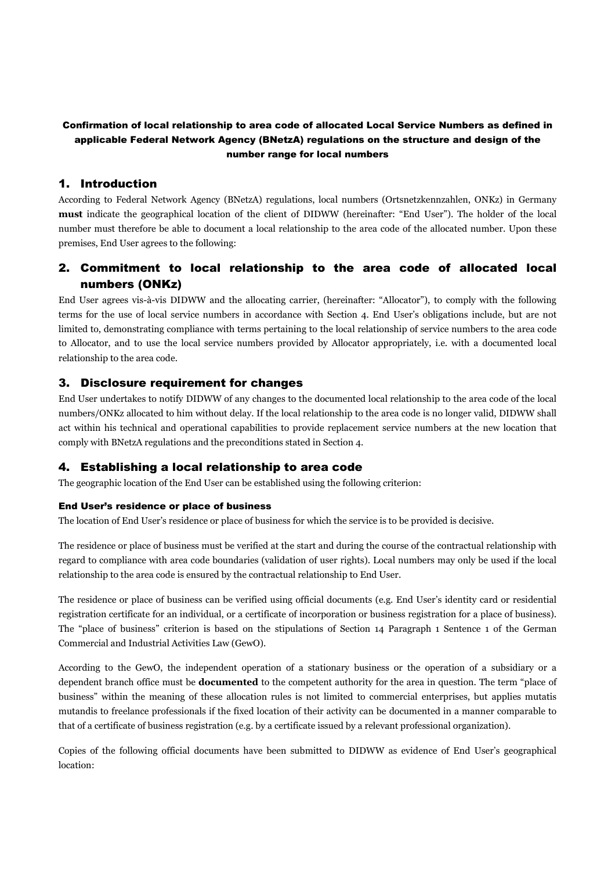### Confirmation of local relationship to area code of allocated Local Service Numbers as defined in applicable Federal Network Agency (BNetzA) regulations on the structure and design of the number range for local numbers

## 1. Introduction

According to Federal Network Agency (BNetzA) regulations, local numbers (Ortsnetzkennzahlen, ONKz) in Germany **must** indicate the geographical location of the client of DIDWW (hereinafter: "End User"). The holder of the local number must therefore be able to document a local relationship to the area code of the allocated number. Upon these premises, End User agrees to the following:

# 2. Commitment to local relationship to the area code of allocated local numbers (ONKz)

End User agrees vis-à-vis DIDWW and the allocating carrier, (hereinafter: "Allocator"), to comply with the following terms for the use of local service numbers in accordance with Section 4. End User's obligations include, but are not limited to, demonstrating compliance with terms pertaining to the local relationship of service numbers to the area code to Allocator, and to use the local service numbers provided by Allocator appropriately, i.e. with a documented local relationship to the area code.

#### 3. Disclosure requirement for changes

End User undertakes to notify DIDWW of any changes to the documented local relationship to the area code of the local numbers/ONKz allocated to him without delay. If the local relationship to the area code is no longer valid, DIDWW shall act within his technical and operational capabilities to provide replacement service numbers at the new location that comply with BNetzA regulations and the preconditions stated in Section 4.

## 4. Establishing a local relationship to area code

The geographic location of the End User can be established using the following criterion:

#### End User's residence or place of business

The location of End User's residence or place of business for which the service is to be provided is decisive.

The residence or place of business must be verified at the start and during the course of the contractual relationship with regard to compliance with area code boundaries (validation of user rights). Local numbers may only be used if the local relationship to the area code is ensured by the contractual relationship to End User.

The residence or place of business can be verified using official documents (e.g. End User's identity card or residential registration certificate for an individual, or a certificate of incorporation or business registration for a place of business). The "place of business" criterion is based on the stipulations of Section 14 Paragraph 1 Sentence 1 of the German Commercial and Industrial Activities Law (GewO).

According to the GewO, the independent operation of a stationary business or the operation of a subsidiary or a dependent branch office must be **documented** to the competent authority for the area in question. The term "place of business" within the meaning of these allocation rules is not limited to commercial enterprises, but applies mutatis mutandis to freelance professionals if the fixed location of their activity can be documented in a manner comparable to that of a certificate of business registration (e.g. by a certificate issued by a relevant professional organization).

Copies of the following official documents have been submitted to DIDWW as evidence of End User's geographical location: